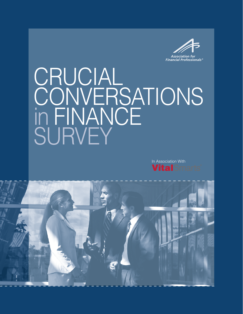

# CRUCIAL CONVERSATIONS in FINANCE SURVEY

In Association With **Vital**Smarts

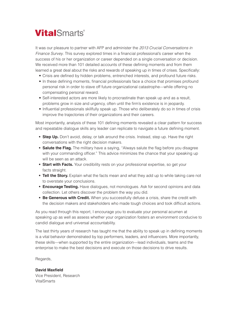## **Vital**Smarts®

It was our pleasure to partner with AFP and administer the *2013 Crucial Conversations in Finance Survey*. This survey explored times in a financial professional's career when the success of his or her organization or career depended on a single conversation or decision. We received more than 101 detailed accounts of these defining moments and from them learned a great deal about the risks and rewards of speaking up in times of crises. Specifically:

- Crisis are defined by hidden problems, entrenched interests, and profound future risks.
- In these defining moments, financial professionals face a choice that promises profound personal risk in order to stave off future organizational catastrophe—while offering no compensating personal reward.
- Self-interested actors are more likely to procrastinate than speak up and as a result, problems grow in size and urgency, often until the firm's existence is in jeopardy.
- Influential professionals skillfully speak up. Those who deliberately do so in times of crisis improve the trajectories of their organizations and their careers.

Most importantly, analysis of these 101 defining moments revealed a clear pattern for success and repeatable dialogue skills any leader can replicate to navigate a future defining moment.

- **• Step Up.** Don't avoid, delay, or talk around the crisis. Instead, step up. Have the right conversations with the right decision makers.
- **• Salute the Flag.** The military have a saying, "Always salute the flag before you disagree with your commanding officer." This advice minimizes the chance that your speaking up will be seen as an attack.
- **• Start with Facts.** Your credibility rests on your professional expertise, so get your facts straight.
- **• Tell the Story.** Explain what the facts mean and what they add up to while taking care not to overstate your conclusions.
- **• Encourage Testing.** Have dialogues, not monologues. Ask for second opinions and data collection. Let others discover the problem the way you did.
- **• Be Generous with Credit.** When you successfully defuse a crisis, share the credit with the decision makers and stakeholders who made tough choices and took difficult actions.

As you read through this report, I encourage you to evaluate your personal acumen at speaking up as well as assess whether your organization fosters an environment conducive to candid dialogue and universal accountability.

The last thirty years of research has taught me that the ability to speak up in defining moments is a vital behavior demonstrated by top performers, leaders, and influencers. More importantly, these skills—when supported by the entire organization—lead individuals, teams and the enterprise to make the best decisions and execute on those decisions to drive results.

Regards,

**David Maxfield**  Vice President, Research **VitalSmarts**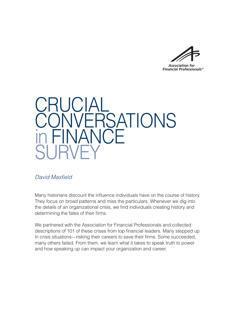**Association for Financial Professionals®** 



#### *David Maxfield*

Many historians discount the influence individuals have on the course of history. They focus on broad patterns and miss the particulars. Whenever we dig into the details of an organizational crisis, we find individuals creating history and determining the fates of their firms.

We partnered with the Association for Financial Professionals and collected descriptions of 101 of these crises from top financial leaders. Many stepped up in crisis situations—risking their careers to save their firms. Some succeeded, many others failed. From them, we learn what it takes to speak truth to power and how speaking up can impact your organization and career.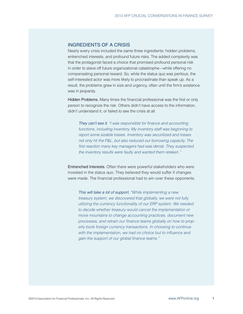#### INGREDIENTS OF A CRISIS

Nearly every crisis included the same three ingredients: hidden problems, entrenched interests, and profound future risks. The added complexity was that the protagonist faced a choice that promised profound personal risk in order to stave off future organizational catastrophe—while offering no compensating personal reward. So, while the status quo was perilous, the self-interested actor was more likely to procrastinate than speak up. As a result, the problems grew in size and urgency, often until the firm's existence was in jeopardy.

Hidden Problems. Many times the financial professional was the first or only person to recognize the risk. Others didn't have access to the information, didn't understand it, or failed to see the crisis at all.

*They can't see it. "I was responsible for finance and accounting functions, including inventory. My inventory staff was beginning to report some sizable losses. Inventory was securitized and losses not only hit the P&L, but also reduced our borrowing capacity. The first reaction many key managers had was denial. They suspected the inventory results were faulty and wanted them retaken."*

Entrenched Interests. Often there were powerful stakeholders who were invested in the status quo. They believed they would suffer if changes were made. The financial professional had to win over these opponents.

*This will take a lot of support. "While implementing a new treasury system, we discovered that globally, we were not fully utilizing the currency functionality of our ERP system. We needed to decide whether treasury would cancel the implementation or move mountains to change accounting practices, document new processes, and retrain our finance teams globally on how to properly book foreign currency transactions. In choosing to continue with the implementation, we had no choice but to influence and gain the support of our global finance teams."*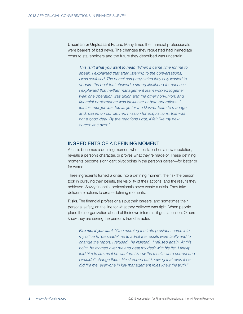Uncertain or Unpleasant Future. Many times the financial professionals were bearers of bad news. The changes they requested had immediate costs to stakeholders and the future they described was uncertain.

*This isn't what you want to hear. "When it came time for me to speak, I explained that after listening to the conversations, I was confused. The parent company stated they only wanted to acquire the best that showed a strong likelihood for success. I explained that neither management team worked together well; one operation was union and the other non-union; and financial performance was lackluster at both operations. I felt this merger was too large for the Denver team to manage and, based on our defined mission for acquisitions, this was not a good deal. By the reactions I got, if felt like my new career was over."*

#### INGREDIENTS OF A DEFINING MOMENT

A crisis becomes a defining moment when it establishes a new reputation, reveals a person's character, or proves what they're made of. These defining moments become significant pivot points in the person's career—for better or for worse.

Three ingredients turned a crisis into a defining moment: the risk the person took in pursuing their beliefs, the visibility of their actions, and the results they achieved. Savvy financial professionals never waste a crisis. They take deliberate actions to create defining moments.

Risks. The financial professionals put their careers, and sometimes their personal safety, on the line for what they believed was right. When people place their organization ahead of their own interests, it gets attention. Others know they are seeing the person's true character.

*Fire me, if you want. "One morning the irate president came into my office to 'persuade' me to admit the results were faulty and to change the report. I refused...he insisted...I refused again. At this point, he loomed over me and beat my desk with his fist. I finally told him to fire me if he wanted. I knew the results were correct and I wouldn't change them. He stomped out knowing that even if he did fire me, everyone in key management roles knew the truth."*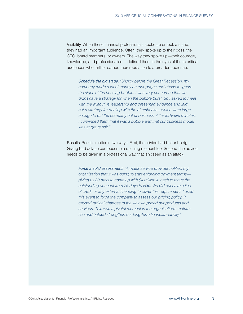Visibility. When these financial professionals spoke up or took a stand, they had an important audience. Often, they spoke up to their boss, the CEO, board members, or owners. The way they spoke up—their courage, knowledge, and professionalism—defined them in the eyes of these critical audiences who further carried their reputation to a broader audience.

*Schedule the big stage. "Shortly before the Great Recession, my company made a lot of money on mortgages and chose to ignore the signs of the housing bubble. I was very concerned that we didn't have a strategy for when the bubble burst. So I asked to meet with the executive leadership and presented evidence and laid out a strategy for dealing with the aftershocks—which were large enough to put the company out of business. After forty-five minutes, I convinced them that it was a bubble and that our business model was at grave risk."* 

Results. Results matter in two ways: First, the advice had better be right. Giving bad advice can become a defining moment too. Second, the advice needs to be given in a professional way, that isn't seen as an attack.

*Force a solid assessment. "A major service provider notified my organization that it was going to start enforcing payment terms giving us 30 days to come up with \$4 million in cash to move the outstanding account from 75 days to N30. We did not have a line of credit or any external financing to cover this requirement. I used this event to force the company to assess our pricing policy. It caused radical changes to the way we priced our products and services. This was a pivotal moment in the organization's maturation and helped strengthen our long-term financial viability."*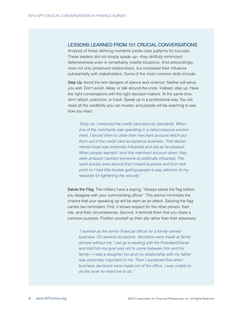#### LESSONS LEARNED FROM 101 CRUCIAL CONVERSATIONS

Analysis of these defining moments yields clear patterns for success. These leaders did not simply speak up—they skillfully minimized defensiveness even in remarkably volatile situations. And astoundingly, most not only preserved relationships, but increased their influence substantially with stakeholders. Some of the most common skills include:

Step Up. Avoid the twin dangers of silence and violence. Neither will serve you well. Don't avoid, delay, or talk around the crisis. Instead, step up. Have the right conversations with the right decision makers. At the same time, don't attack, patronize, or insult. Speak up in a professional way. You will need all the credibility you can muster, and people will be watching to see how you react.

*"Early on, I enforced the credit card security standards. When one of the merchants was operating in a risky/unsecure environment, I forced them to close their merchant account which put them out of the credit card acceptance business. That departmental head was extremely influential and did as he pleased. When people learned I shut this merchant account down, they were amazed I tackled someone so politically influential. The word quickly went around that I meant business and from that point on I had little trouble getting people to pay attention to my requests for tightening the security."*

Salute the Flag. The military have a saying, "Always salute the flag before you disagree with your commanding officer." This advice minimizes the chance that your speaking up will be seen as an attack. Saluting the flag carries two reminders: First, it shows respect for the other person, their role, and their circumstances. Second, it reminds them that you share a common purpose. Position yourself as their ally rather than their adversary.

*"I worked as the senior financial officer for a family-owned business. On several occasions, decisions were made at family dinners without me. I set up a meeting with the President/Owner and told him my goal was not to come between him and his family—I was a daughter too and my relationship with my father was extremely important to me. Then I explained that when business decisions were made out of the office, I was unable to do the work he hired me to do."*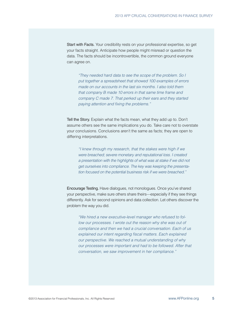Start with Facts. Your credibility rests on your professional expertise, so get your facts straight. Anticipate how people might misread or question the data. The facts should be incontrovertible, the common ground everyone can agree on.

*"They needed hard data to see the scope of the problem. So I put together a spreadsheet that showed 100 examples of errors made on our accounts in the last six months. I also told them that company B made 10 errors in that same time frame and company C made 7. That perked up their ears and they started paying attention and fixing the problems."*

Tell the Story. Explain what the facts mean, what they add up to. Don't assume others see the same implications you do. Take care not to overstate your conclusions. Conclusions aren't the same as facts; they are open to differing interpretations.

*"I knew through my research, that the stakes were high if we were breached; severe monetary and reputational loss. I created a presentation with the highlights of what was at stake if we did not get ourselves into compliance. The key was keeping the presentation focused on the potential business risk if we were breached."*

Encourage Testing. Have dialogues, not monologues. Once you've shared your perspective, make sure others share theirs—especially if they see things differently. Ask for second opinions and data collection. Let others discover the problem the way you did.

*"We hired a new executive-level manager who refused to follow our processes. I wrote out the reason why she was out of compliance and then we had a crucial conversation. Each of us explained our intent regarding fiscal matters. Each explained our perspective. We reached a mutual understanding of why our processes were important and had to be followed. After that conversation, we saw improvement in her compliance."*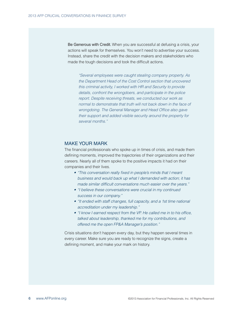Be Generous with Credit. When you are successful at defusing a crisis, your actions will speak for themselves. You won't need to advertise your success. Instead, share the credit with the decision makers and stakeholders who made the tough decisions and took the difficult actions.

*"Several employees were caught stealing company property. As the Department Head of the Cost Control section that uncovered this criminal activity, I worked with HR and Security to provide details, confront the wrongdoers, and participate in the police report. Despite receiving threats, we conducted our work as normal to demonstrate that truth will not back down in the face of wrongdoing. The General Manager and Head Office also gave their support and added visible security around the property for several months."* 

#### MAKE YOUR MARK

The financial professionals who spoke up in times of crisis, and made them defining moments, improved the trajectories of their organizations and their careers. Nearly all of them spoke to the positive impacts it had on their companies and their lives.

- *• "This conversation really fixed in people's minds that I meant business and would back up what I demanded with action; it has made similar difficult conversations much easier over the years."*
- *• "I believe these conversations were crucial in my continued success in our company."*
- *• "It ended with staff changes, full capacity, and a 1st time national accreditation under my leadership."*
- *• "I know I earned respect from the VP. He called me in to his office, talked about leadership, thanked me for my contributions, and offered me the open FP&A Manager's position."*

Crisis situations don't happen every day, but they happen several times in every career. Make sure you are ready to recognize the signs, create a defining moment, and make your mark on history.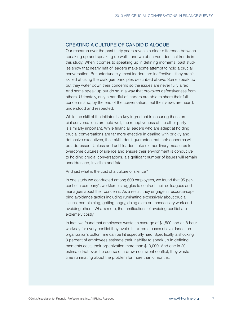#### CREATING A CULTURE OF CANDID DIALOGUE

Our research over the past thirty years reveals a clear difference between speaking up and speaking up well—and we observed identical trends in this study. When it comes to speaking up in defining moments, past studies show that nearly half of leaders make some attempt to hold a crucial conversation. But unfortunately, most leaders are ineffective—they aren't skilled at using the dialogue principles described above. Some speak up but they water down their concerns so the issues are never fully aired. And some speak up but do so in a way that provokes defensiveness from others. Ultimately, only a handful of leaders are able to share their full concerns and, by the end of the conversation, feel their views are heard, understood and respected.

While the skill of the initiator is a key ingredient in ensuring these crucial conversations are held well, the receptiveness of the other party is similarly important. While financial leaders who are adept at holding crucial conversations are far more effective in dealing with prickly and defensive executives, their skills don't guarantee that their concerns will be addressed. Unless and until leaders take extraordinary measures to overcome cultures of silence and ensure their environment is conducive to holding crucial conversations, a significant number of issues will remain unaddressed, invisible and fatal.

#### And just what is the cost of a culture of silence?

In one study we conducted among 600 employees, we found that 95 percent of a company's workforce struggles to confront their colleagues and managers about their concerns. As a result, they engage in resource-sapping avoidance tactics including ruminating excessively about crucial issues, complaining, getting angry, doing extra or unnecessary work and avoiding others. What's more, the ramifications of avoiding conflict are extremely costly.

In fact, we found that employees waste an average of \$1,500 and an 8-hour workday for every conflict they avoid. In extreme cases of avoidance, an organization's bottom line can be hit especially hard. Specifically, a shocking 8 percent of employees estimate their inability to speak up in defining moments costs their organization more than \$10,000. And one in 20 estimate that over the course of a drawn-out silent conflict, they waste time ruminating about the problem for more than 6 months.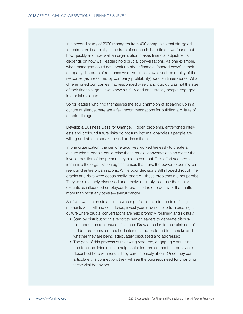In a second study of 2000 managers from 400 companies that struggled to restructure financially in the face of economic hard times, we found that how quickly and how well an organization makes financial adjustments depends on how well leaders hold crucial conversations. As one example, when managers could not speak up about financial "sacred cows" in their company, the pace of response was five times slower and the quality of the response (as measured by company profitability) was ten times worse. What differentiated companies that responded wisely and quickly was not the size of their financial gap, it was how skillfully and consistently people engaged in crucial dialogue.

So for leaders who find themselves the soul champion of speaking up in a culture of silence, here are a few recommendations for building a culture of candid dialogue.

Develop a Business Case for Change. Hidden problems, entrenched interests and profound future risks do not turn into malignancies if people are willing and able to speak up and address them.

In one organization, the senior executives worked tirelessly to create a culture where people could raise these crucial conversations no matter the level or position of the person they had to confront. This effort seemed to immunize the organization against crises that have the power to destroy careers and entire organizations. While poor decisions still slipped through the cracks and risks were occasionally ignored—these problems did not persist. They were routinely discussed and resolved simply because the senior executives influenced employees to practice the one behavior that matters more than most any others—skillful candor.

So if you want to create a culture where professionals step up to defining moments with skill and confidence, invest your influence efforts in creating a culture where crucial conversations are held promptly, routinely, and skillfully.

- Start by distributing this report to senior leaders to generate discussion about the root cause of silence. Draw attention to the existence of hidden problems, entrenched interests and profound future risks and whether they are being adequately discussed and addressed.
- The goal of this process of reviewing research, engaging discussion, and focused listening is to help senior leaders connect the behaviors described here with results they care intensely about. Once they can articulate this connection, they will see the business need for changing these vital behaviors.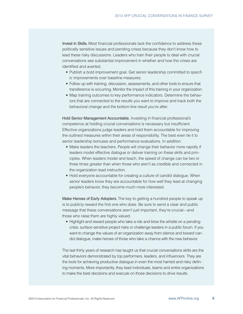Invest in Skills. Most financial professionals lack the confidence to address these politically sensitive issues and pending crises because they don't know how to lead these risky discussions. Leaders who train their people to deal with crucial conversations see substantial improvement in whether and how the crises are identified and averted.

- Publish a bold improvement goal. Get senior leadership committed to specific improvements over baseline measures.
- Follow up with training, discussion, assessments, and other tools to ensure that transference is occurring. Monitor the impact of this training in your organization.
- Map training outcomes to key performance indicators. Determine the behaviors that are connected to the results you want to improve and track both the behavioral change and the bottom-line result you're after.

Hold Senior Management Accountable. Investing in financial professional's competence at holding crucial conversations is necessary but insufficient. Effective organizations judge leaders and hold them accountable for improving the outlined measures within their areas of responsibility. The best even tie it to senior leadership bonuses and performance evaluations. In addition:

- Make leaders the teachers. People will change their behavior more rapidly if leaders model effective dialogue or deliver training on these skills and principles. When leaders model and teach, the speed of change can be two or three times greater than when those who aren't as credible and connected in the organization lead instruction.
- Hold everyone accountable for creating a culture of candid dialogue. When senior leaders know they are accountable for how well they lead at changing people's behavior, they become much more interested.

Make Heroes of Early Adopters. The key to getting a hundred people to speak up is to publicly reward the first one who does. Be sure to send a clear and public message that these conversations aren't just important, they're crucial—and those who raise them are highly valued.

• Highlight and reward people who take a risk and blow the whistle on a pending crisis, surface sensitive project risks or challenge leaders in a public forum. If you want to change the values of an organization away from silence and toward candid dialogue, make heroes of those who take a chance with the new behavior.

The last thirty years of research has taught us that crucial conversations skills are the vital behaviors demonstrated by top performers, leaders, and influencers. They are the tools for achieving productive dialogue in even the most harried and risky defining moments. More importantly, they lead individuals, teams and entire organizations to make the best decisions and execute on those decisions to drive results.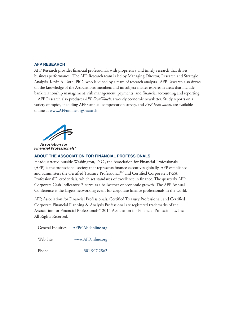#### **AFP RESEARCH**

AFP Research provides financial professionals with proprietary and timely research that drives business performance. The AFP Research team is led by Managing Director, Research and Strategic Analysis, Kevin A. Roth, PhD, who is joined by a team of research analysts. AFP Research also draws on the knowledge of the Association's members and its subject matter experts in areas that include bank relationship management, risk management, payments, and financial accounting and reporting.

AFP Research also produces *AFP EconWatch*, a weekly economic newsletter. Study reports on a variety of topics, including AFP's annual compensation survey, and *AFP EconWatch*, are available online at www.AFPonline.org/research.



#### **ABOUT THE ASSOCIATION FOR FINANCIAL PROFESSIONALS**

Headquartered outside Washington, D.C., the Association for Financial Professionals (AFP) is the professional society that represents finance executives globally. AFP established and administers the Certified Treasury Professional™ and Certified Corporate FP&A ProfessionalTM credentials, which set standards of excellence in finance. The quarterly AFP Corporate Cash Indicators™ serve as a bellwether of economic growth. The AFP Annual Conference is the largest networking event for corporate finance professionals in the world.

AFP, Association for Financial Professionals, Certified Treasury Professional, and Certified Corporate Financial Planning & Analysis Professional are registered trademarks of the Association for Financial Professionals.© 2014 Association for Financial Professionals, Inc. All Rights Reserved.

General Inquiries AFP@AFPonline.org Web Site www.AFPonline.org Phone 301.907.2862